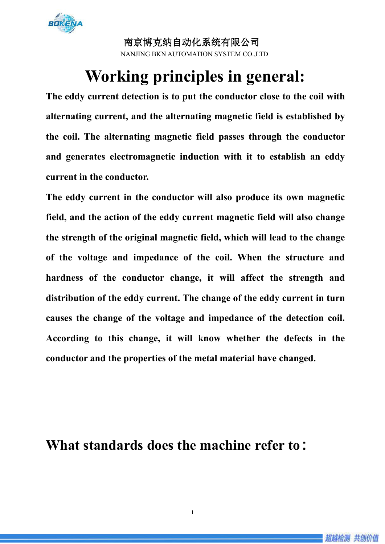

NANJING BKN AUTOMATION SYSTEM CO.,LTD

# **Working principles in general:**

**The eddy current detection is to put the conductor close to the coil with alternating current, and the alternating magnetic field is established by the coil. The alternating magnetic field passes through the conductor and generates electromagnetic induction with it to establish an eddy current in the conductor.**

**The eddy current in the conductor will also produce its own magnetic field, and the action of the eddy current magnetic field will also change the strength of the original magnetic field, which will lead to the change of the voltage and impedance of the coil. When the structure and hardness of the conductor change, it will affect the strength and distribution of the eddy current. The change of the eddy current in turn causes the change of the voltage and impedance of the detection coil. According to thischange, it will know whether the defects in the conductor and the properties of the metal material have changed.**

### **What standards does the machine refer to**:

1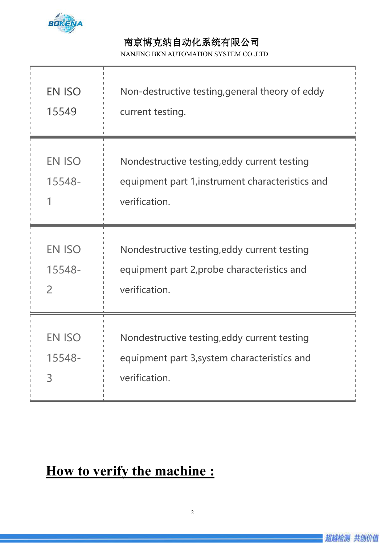

NANJING BKN AUTOMATION SYSTEM CO.,LTD

| <b>EN ISO</b><br>15549                   | Non-destructive testing, general theory of eddy<br>current testing.                                               |  |
|------------------------------------------|-------------------------------------------------------------------------------------------------------------------|--|
| <b>EN ISO</b><br>15548-                  | Nondestructive testing, eddy current testing<br>equipment part 1, instrument characteristics and<br>verification. |  |
| <b>EN ISO</b><br>15548-<br>$\mathcal{P}$ | Nondestructive testing, eddy current testing<br>equipment part 2, probe characteristics and<br>verification.      |  |
| <b>EN ISO</b><br>15548-<br>3             | Nondestructive testing, eddy current testing<br>equipment part 3, system characteristics and<br>verification.     |  |

## **How to verify the machine :**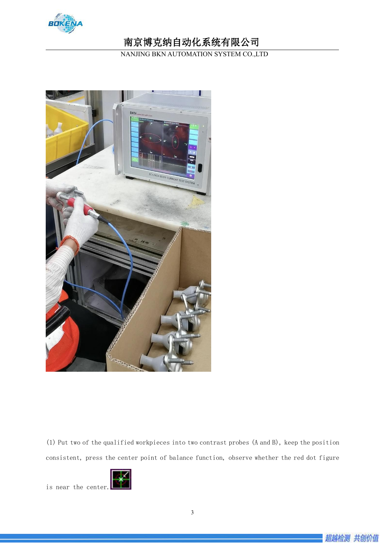

NANJING BKN AUTOMATION SYSTEM CO.,LTD



(1) Put two of the qualified workpieces into two contrast probes (A and B), keep the position consistent, press the center point of balance function, observe whether the red dot figure



is near the center.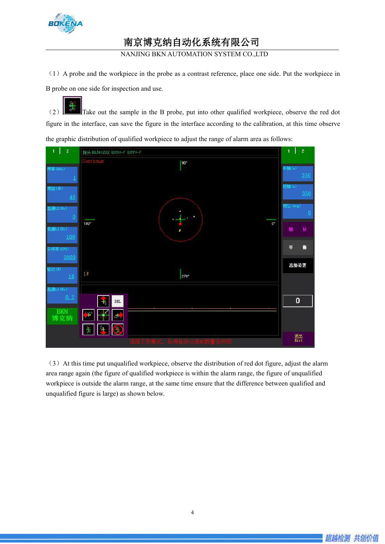

NANJING BKN AUTOMATION SYSTEM CO.,LTD

(1)A probe and the workpiece in the probe as a contrast reference, place one side. Put the workpiece in B probe on one side for inspection and use.

(2) Take out the sample in the B probe, put into other qualified workpiece, observe the red dot figure in the interface, can save the figure in the interface according to the calibration, at this time observe the graphic distribution of qualified workpiece to adjust the range of alarm area as follows:



 $(3)$  At this time put unqualified workpiece, observe the distribution of red dot figure, adjust the alarm area range again (the figure of qualified workpiece is within the alarm range, the figure of unqualified workpiece is outside the alarm range, at the same time ensure that the difference between qualified and unqualified figure is large) as shown below.